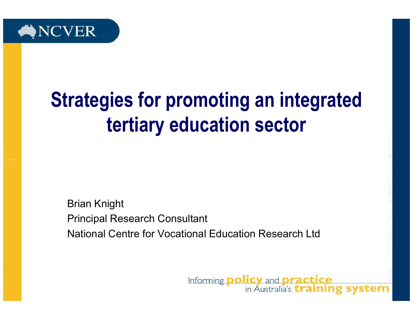

# Strategies for promoting an integrated tertiary education sector

Brian KnightPrincipal Research ConsultantNational Centre for Vocational Education Research Ltd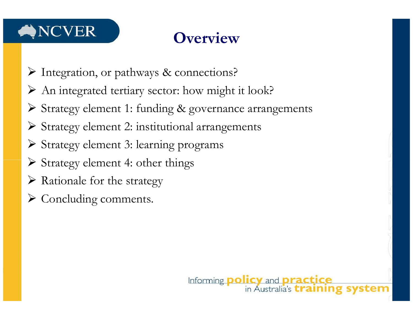#### NCVER

## **Overview**

- Integration, or pathways & connections?
- An integrated tertiary sector: how might it look?
- Strategy element 1: funding & governance arrangements
- Strategy element 2: institutional arrangements
- Strategy element 3: learning programs
- Strategy element 4: other things
- > Rationale for the strategy
- Concluding comments.

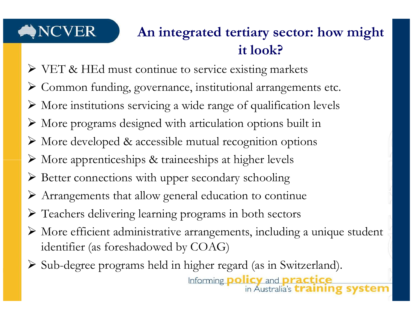#### An integrated tertiary sector: how might it look?

- VET & HEd must continue to service existing markets
- Common funding, governance, institutional arrangements etc.
- More institutions servicing a wide range of qualification levels
- More programs designed with articulation options built in
- More developed & accessible mutual recognition options
- More apprenticeships & traineeships at higher levels
- Better connections with upper secondary schooling
- Arrangements that allow general education to continue
- Teachers delivering learning programs in both sectors
- $\triangleright$  More efficient administrative arrangements, including a unique student identifier (as foreshadowed by COAG)
- Sub-degree programs held in higher regard (as in Switzerland).in Australia's *training* system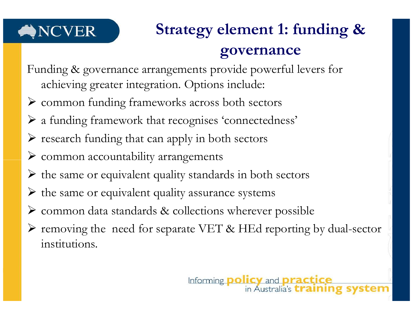# Strategy element 1: funding & governance

- Funding & governance arrangements provide powerful levers for achieving greater integration. Options include:
- common funding frameworks across both sectors
- a funding framework that recognises 'connectedness'
- research funding that can apply in both sectors
- common accountability arrangements
- the same or equivalent quality standards in both sectors
- the same or equivalent quality assurance systems
- common data standards & collections wherever possible
- Fremoving the need for separate VET & HEd reporting by dual-sector institutions.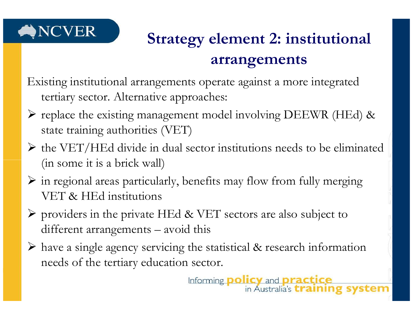

## Strategy element 2: institutional arrangements

Existing institutional arrangements operate against a more integrated tertiary sector. Alternative approaches:

- replace the existing management model involving DEEWR (HEd) & state training authorities (VET)
- $\triangleright$  the VET/HEd divide in dual sector institutions needs to be eliminated (in some it is a brick wall)
- $\triangleright$  in regional areas particularly, benefits may flow from fully merging VET & HEd institutions
- $\triangleright$  providers in the private HEd & VET sectors are also subject to  $\frac{1}{100}$ different arrangements – avoid this
- have a single agency servicing the statistical & research information needs of the tertiary education sector.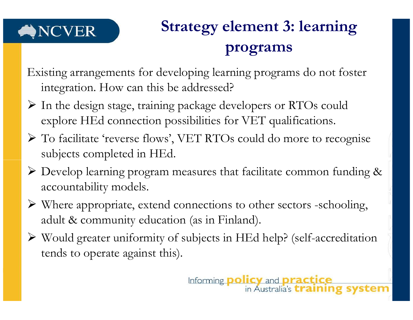# Strategy element 3: learning programs

Existing arrangements for developing learning programs do not foster integration. How can this be addressed?

- In the design stage, training package developers or RTOs could explore HEd connection possibilities for VET qualifications.
- To facilitate 'reverse flows', VET RTOs could do more to recognise subjects completed in HEd.
- Develop learning program measures that facilitate common funding & accountability models.
- $\triangleright$  Where appropriate, extend connections to other sectors -schooling, adult & community education (as in Finland).
- Would greater uniformity of subjects in HEd help? (self-accreditation tends to operate against this).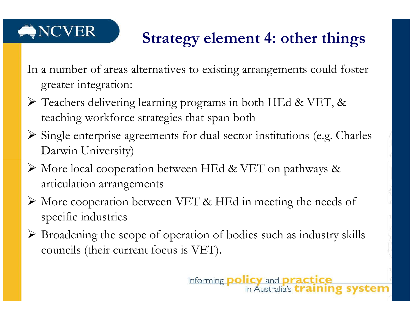#### **NCVER**

#### Strategy element 4: other things

- In a number of areas alternatives to existing arrangements could foster greater integration:
- > Teachers delivering learning programs in both HEd & VET, & teaching workforce strategies that span both
- $\triangleright$  Single enterprise agreements for dual sector institutions (e.g. Charles Darwin University)
- More local cooperation between HEd & VET on pathways & articulation arrangements
- $\triangleright$  More cooperation between VET & HEd in meeting the needs of specific industries
- $\triangleright$  Broadening the scope of operation of bodies such as industry skills councils (their current focus is VET).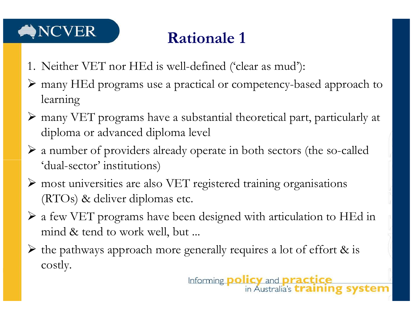### Rationale 1

- 1. Neither VET nor HEd is well-defined ('clear as mud'):
- many HEd programs use a practical or competency-based approach to learning
- many VET programs have a substantial theoretical part, particularly at diploma or advanced diploma level
- $\triangleright$  a number of providers already operate in both sectors (the so-called 'dual-sector' institutions)
- most universities are also VET registered training organisations (RTOs) & deliver diplomas etc.
- $\triangleright$  a few VET programs have been designed with articulation to HEd in mind & tend to work well, but ...
- $\triangleright$  the pathways approach more generally requires a lot of effort & is costly.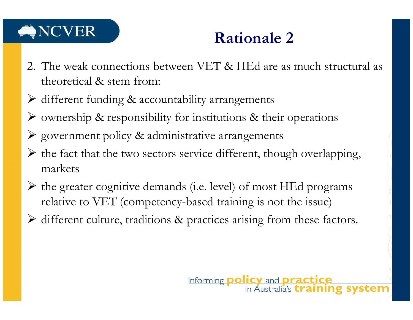## NCVER

#### Rationale 2

- 2. The weak connections between VET & HEd are as much structural as theoretical & stem from:
- different funding & accountability arrangements
- ownership & responsibility for institutions & their operations
- government policy & administrative arrangements
- $\triangleright$  the fact that the two sectors service different, though overlapping, markets
- $\triangleright$  the greater cognitive demands (i.e. level) of most HEd programs relative to VET (competency-based training is not the issue)
- different culture, traditions & practices arising from these factors.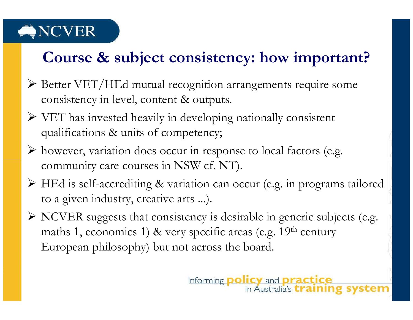#### Course & subject consistency: how important?

- Better VET/HEd mutual recognition arrangements require some consistency in level, content & outputs.
- $\triangleright$  VET has invested heavily in developing nationally consistent qualifications & units of competency;
- however, variation does occur in response to local factors (e.g. community care courses in NSW cf. NT).
- HEd is self-accrediting & variation can occur (e.g. in programs tailored to a given industry, creative arts ...).
- $\triangleright$  NCVER suggests that consistency is desirable in generic subjects (e.g. maths 1, economics 1) & very specific areas (e.g.  $19<sup>th</sup>$  century European philosophy) but not across the board.